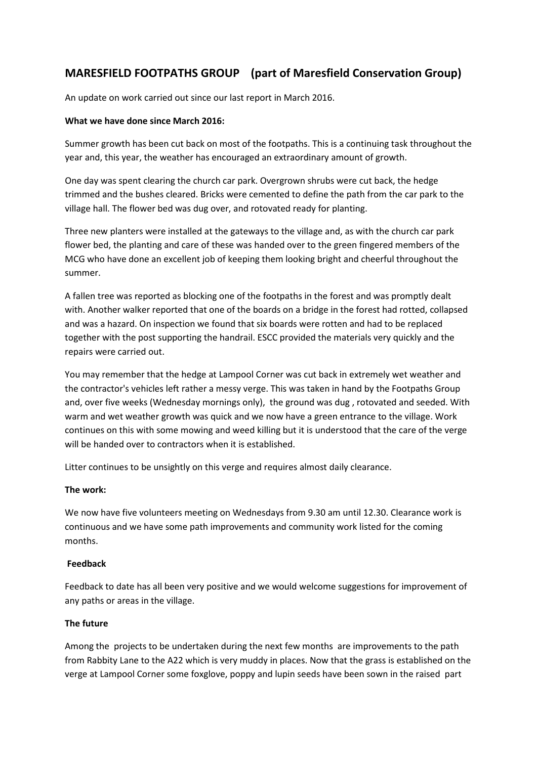# **MARESFIELD FOOTPATHS GROUP (part of Maresfield Conservation Group)**

An update on work carried out since our last report in March 2016.

### **What we have done since March 2016:**

Summer growth has been cut back on most of the footpaths. This is a continuing task throughout the year and, this year, the weather has encouraged an extraordinary amount of growth.

One day was spent clearing the church car park. Overgrown shrubs were cut back, the hedge trimmed and the bushes cleared. Bricks were cemented to define the path from the car park to the village hall. The flower bed was dug over, and rotovated ready for planting.

Three new planters were installed at the gateways to the village and, as with the church car park flower bed, the planting and care of these was handed over to the green fingered members of the MCG who have done an excellent job of keeping them looking bright and cheerful throughout the summer.

A fallen tree was reported as blocking one of the footpaths in the forest and was promptly dealt with. Another walker reported that one of the boards on a bridge in the forest had rotted, collapsed and was a hazard. On inspection we found that six boards were rotten and had to be replaced together with the post supporting the handrail. ESCC provided the materials very quickly and the repairs were carried out.

You may remember that the hedge at Lampool Corner was cut back in extremely wet weather and the contractor's vehicles left rather a messy verge. This was taken in hand by the Footpaths Group and, over five weeks (Wednesday mornings only), the ground was dug , rotovated and seeded. With warm and wet weather growth was quick and we now have a green entrance to the village. Work continues on this with some mowing and weed killing but it is understood that the care of the verge will be handed over to contractors when it is established.

Litter continues to be unsightly on this verge and requires almost daily clearance.

### **The work:**

We now have five volunteers meeting on Wednesdays from 9.30 am until 12.30. Clearance work is continuous and we have some path improvements and community work listed for the coming months.

## **Feedback**

Feedback to date has all been very positive and we would welcome suggestions for improvement of any paths or areas in the village.

### **The future**

Among the projects to be undertaken during the next few months are improvements to the path from Rabbity Lane to the A22 which is very muddy in places. Now that the grass is established on the verge at Lampool Corner some foxglove, poppy and lupin seeds have been sown in the raised part